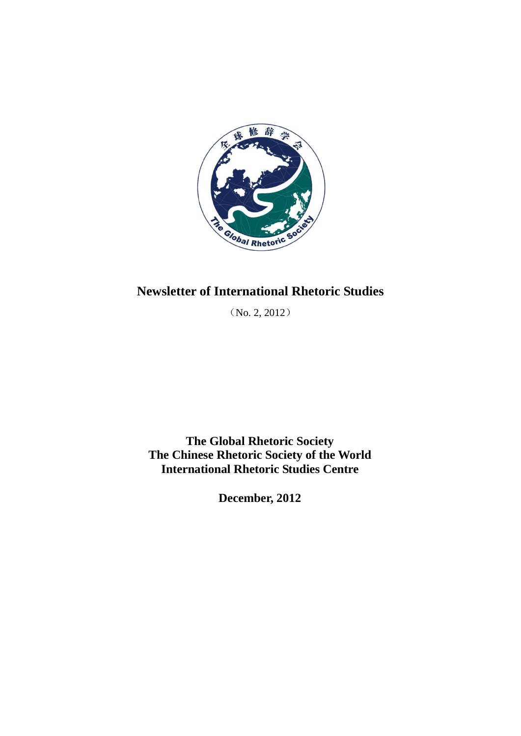

# **Newsletter of International Rhetoric Studies**

(No. 2, 2012)

**The Global Rhetoric Society The Chinese Rhetoric Society of the World International Rhetoric Studies Centre**

**December, 2012**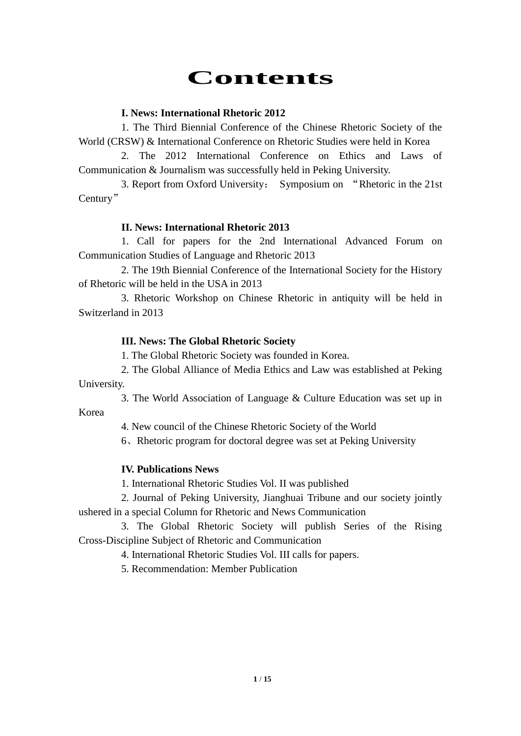# **Contents**

# **I. News: International Rhetoric 2012**

1. The Third Biennial Conference of the Chinese Rhetoric Society of the World (CRSW) & International Conference on Rhetoric Studies were held in Korea

2. The 2012 International Conference on Ethics and Laws of Communication & Journalism was successfully held in Peking University.

3. Report from Oxford University: Symposium on "Rhetoric in the 21st Century"

# **II. News: International Rhetoric 2013**

1. Call for papers for the 2nd International Advanced Forum on Communication Studies of Language and Rhetoric 2013

2. The 19th Biennial Conference of the International Society for the History of Rhetoric will be held in the USA in 2013

3. Rhetoric Workshop on Chinese Rhetoric in antiquity will be held in Switzerland in 2013

# **III. News: The Global Rhetoric Society**

1. The Global Rhetoric Society was founded in Korea.

2. The Global Alliance of Media Ethics and Law was established at Peking University.

3. The World Association of Language & Culture Education was set up in Korea

4. New council of the Chinese Rhetoric Society of the World

6、Rhetoric program for doctoral degree was set at Peking University

# **IV. Publications News**

1. International Rhetoric Studies Vol. II was published

2. Journal of Peking University, Jianghuai Tribune and our society jointly ushered in a special Column for Rhetoric and News Communication

3. The Global Rhetoric Society will publish Series of the Rising Cross-Discipline Subject of Rhetoric and Communication

4. International Rhetoric Studies Vol. III calls for papers.

5. Recommendation: Member Publication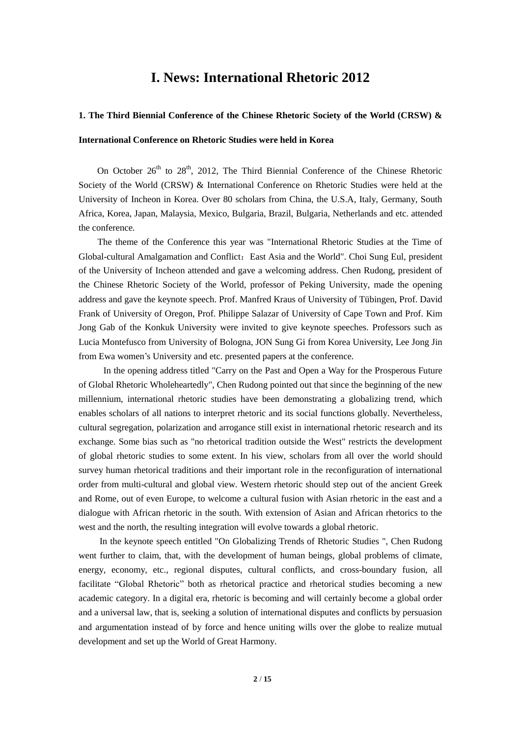# **I. News: International Rhetoric 2012**

## **1. The Third Biennial Conference of the Chinese Rhetoric Society of the World (CRSW) &**

## **International Conference on Rhetoric Studies were held in Korea**

On October  $26<sup>th</sup>$  to  $28<sup>th</sup>$ , 2012, The Third Biennial Conference of the Chinese Rhetoric Society of the World (CRSW) & International Conference on Rhetoric Studies were held at the University of Incheon in Korea. Over 80 scholars from China, the U.S.A, Italy, Germany, South Africa, Korea, Japan, Malaysia, Mexico, Bulgaria, Brazil, Bulgaria, Netherlands and etc. attended the conference.

The theme of the Conference this year was "International Rhetoric Studies at the Time of Global-cultural Amalgamation and Conflict: East Asia and the World". Choi Sung Eul, president of the University of Incheon attended and gave a welcoming address. Chen Rudong, president of the Chinese Rhetoric Society of the World, professor of Peking University, made the opening address and gave the keynote speech. Prof. Manfred Kraus of University of Tübingen, Prof. David Frank of University of Oregon, Prof. Philippe Salazar of University of Cape Town and Prof. Kim Jong Gab of the Konkuk University were invited to give keynote speeches. Professors such as Lucia Montefusco from University of Bologna, JON Sung Gi from Korea University, Lee Jong Jin from Ewa women"s University and etc. presented papers at the conference.

In the opening address titled "Carry on the Past and Open a Way for the Prosperous Future of Global Rhetoric Wholeheartedly", Chen Rudong pointed out that since the beginning of the new millennium, international rhetoric studies have been demonstrating a globalizing trend, which enables scholars of all nations to interpret rhetoric and its social functions globally. Nevertheless, cultural segregation, polarization and arrogance still exist in international rhetoric research and its exchange. Some bias such as "no rhetorical tradition outside the West" restricts the development of global rhetoric studies to some extent. In his view, scholars from all over the world should survey human rhetorical traditions and their important role in the reconfiguration of international order from multi-cultural and global view. Western rhetoric should step out of the ancient Greek and Rome, out of even Europe, to welcome a cultural fusion with Asian rhetoric in the east and a dialogue with African rhetoric in the south. With extension of Asian and African rhetorics to the west and the north, the resulting integration will evolve towards a global rhetoric.

In the keynote speech entitled "On Globalizing Trends of Rhetoric Studies ", Chen Rudong went further to claim, that, with the development of human beings, global problems of climate, energy, economy, etc., regional disputes, cultural conflicts, and cross-boundary fusion, all facilitate "Global Rhetoric" both as rhetorical practice and rhetorical studies becoming a new academic category. In a digital era, rhetoric is becoming and will certainly become a global order and a universal law, that is, seeking a solution of international disputes and conflicts by persuasion and argumentation instead of by force and hence uniting wills over the globe to realize mutual development and set up the World of Great Harmony.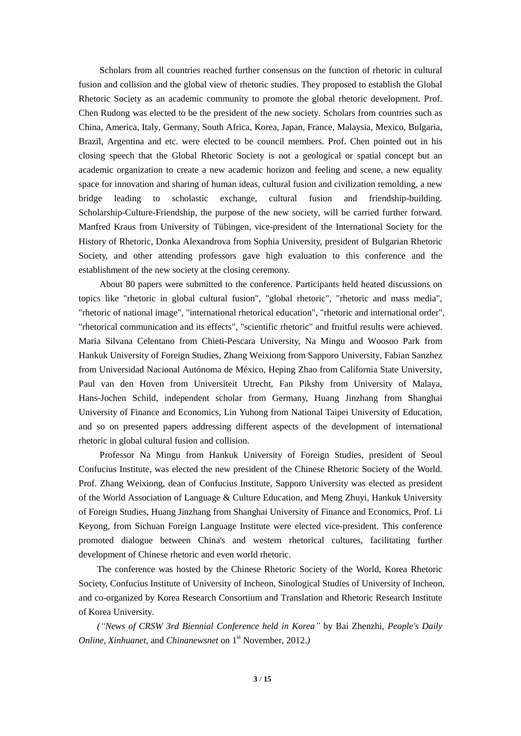Scholars from all countries reached further consensus on the function of rhetoric in cultural fusion and collision and the global view of rhetoric studies. They proposed to establish the Global Rhetoric Society as an academic community to promote the global rhetoric development. Prof. Chen Rudong was elected to be the president of the new society. Scholars from countries such as China, America, Italy, Germany, South Africa, Korea, Japan, France, Malaysia, Mexico, Bulgaria, Brazil, Argentina and etc. were elected to be council members. Prof. Chen pointed out in his closing speech that the Global Rhetoric Society is not a geological or spatial concept but an academic organization to create a new academic horizon and feeling and scene, a new equality space for innovation and sharing of human ideas, cultural fusion and civilization remolding, a new bridge leading to scholastic exchange, cultural fusion and friendship-building. Scholarship-Culture-Friendship, the purpose of the new society, will be carried further forward. Manfred Kraus from University of Tübingen, vice-president of the International Society for the History of Rhetoric, Donka Alexandrova from Sophia University, president of Bulgarian Rhetoric Society, and other attending professors gave high evaluation to this conference and the establishment of the new society at the closing ceremony.

About 80 papers were submitted to the conference. Participants held heated discussions on topics like "rhetoric in global cultural fusion", "global rhetoric", "rhetoric and mass media", "rhetoric of national image", "international rhetorical education", "rhetoric and international order", "rhetorical communication and its effects", "scientific rhetoric" and fruitful results were achieved. Maria Silvana Celentano from Chieti-Pescara University, Na Mingu and Woosoo Park from Hankuk University of Foreign Studies, Zhang Weixiong from Sapporo University, Fabian Sanzhez from Universidad Nacional Autónoma de México, Heping Zhao from California State University, Paul van den Hoven from Universiteit Utrecht, Fan Pikshy from University of Malaya, Hans-Jochen Schild, independent scholar from Germany, Huang Jinzhang from Shanghai University of Finance and Economics, Lin Yuhong from National Taipei University of Education, and so on presented papers addressing different aspects of the development of international rhetoric in global cultural fusion and collision.

Professor Na Mingu from Hankuk University of Foreign Studies, president of Seoul Confucius Institute, was elected the new president of the Chinese Rhetoric Society of the World. Prof. Zhang Weixiong, dean of Confucius Institute, Sapporo University was elected as president of the World Association of Language & Culture Education, and Meng Zhuyi, Hankuk University of Foreign Studies, Huang Jinzhang from Shanghai University of Finance and Economics, Prof. Li Keyong, from Sichuan Foreign Language Institute were elected vice-president. This conference promoted dialogue between China's and western rhetorical cultures, facilitating further development of Chinese rhetoric and even world rhetoric.

The conference was hosted by the Chinese Rhetoric Society of the World, Korea Rhetoric Society, Confucius Institute of University of Incheon, Sinological Studies of University of Incheon, and co-organized by Korea Research Consortium and Translation and Rhetoric Research Institute of Korea University.

*("News of CRSW 3rd Biennial Conference held in Korea"* by Bai Zhenzhi, *People's Daily Online, Xinhuanet, and Chinanewsnet* on 1<sup>st</sup> November, 2012.*)*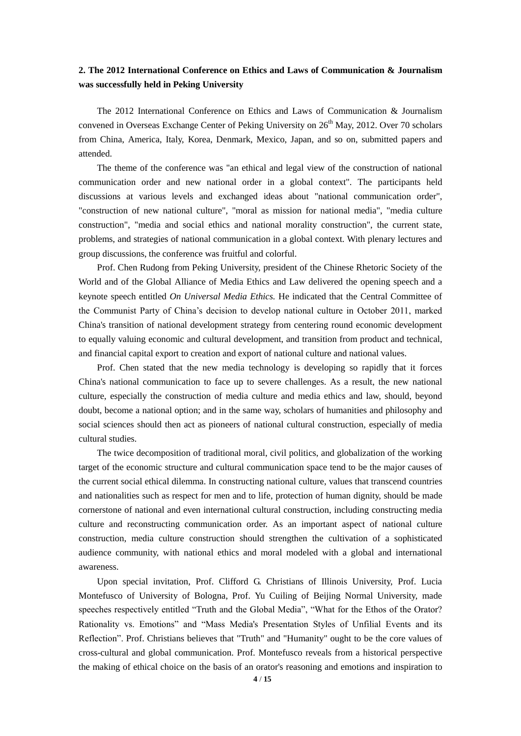## **2. The 2012 International Conference on Ethics and Laws of Communication & Journalism was successfully held in Peking University**

The 2012 International Conference on Ethics and Laws of Communication & Journalism convened in Overseas Exchange Center of Peking University on 26<sup>th</sup> May, 2012. Over 70 scholars from China, America, Italy, Korea, Denmark, Mexico, Japan, and so on, submitted papers and attended.

The theme of the conference was "an ethical and legal view of the construction of national communication order and new national order in a global context". The participants held discussions at various levels and exchanged ideas about "national communication order", "construction of new national culture", "moral as mission for national media", "media culture construction", "media and social ethics and national morality construction", the current state, problems, and strategies of national communication in a global context. With plenary lectures and group discussions, the conference was fruitful and colorful.

Prof. Chen Rudong from Peking University, president of the Chinese Rhetoric Society of the World and of the Global Alliance of Media Ethics and Law delivered the opening speech and a keynote speech entitled *On Universal Media Ethics.* He indicated that the Central Committee of the Communist Party of China"s decision to develop national culture in October 2011, marked China's transition of national development strategy from centering round economic development to equally valuing economic and cultural development, and transition from product and technical, and financial capital export to creation and export of national culture and national values.

Prof. Chen stated that the new media technology is developing so rapidly that it forces China's national communication to face up to severe challenges. As a result, the new national culture, especially the construction of media culture and media ethics and law, should, beyond doubt, become a national option; and in the same way, scholars of humanities and philosophy and social sciences should then act as pioneers of national cultural construction, especially of media cultural studies.

The twice decomposition of traditional moral, civil politics, and globalization of the working target of the economic structure and cultural communication space tend to be the major causes of the current social ethical dilemma. In constructing national culture, values that transcend countries and nationalities such as respect for men and to life, protection of human dignity, should be made cornerstone of national and even international cultural construction, including constructing media culture and reconstructing communication order. As an important aspect of national culture construction, media culture construction should strengthen the cultivation of a sophisticated audience community, with national ethics and moral modeled with a global and international awareness.

Upon special invitation, Prof. Clifford G. Christians of Illinois University, Prof. Lucia Montefusco of University of Bologna, Prof. Yu Cuiling of Beijing Normal University, made speeches respectively entitled "Truth and the Global Media", "What for the Ethos of the Orator? Rationality vs. Emotions" and "Mass Media's Presentation Styles of Unfilial Events and its Reflection". Prof. Christians believes that "Truth" and "Humanity" ought to be the core values of cross-cultural and global communication. Prof. Montefusco reveals from a historical perspective the making of ethical choice on the basis of an orator's reasoning and emotions and inspiration to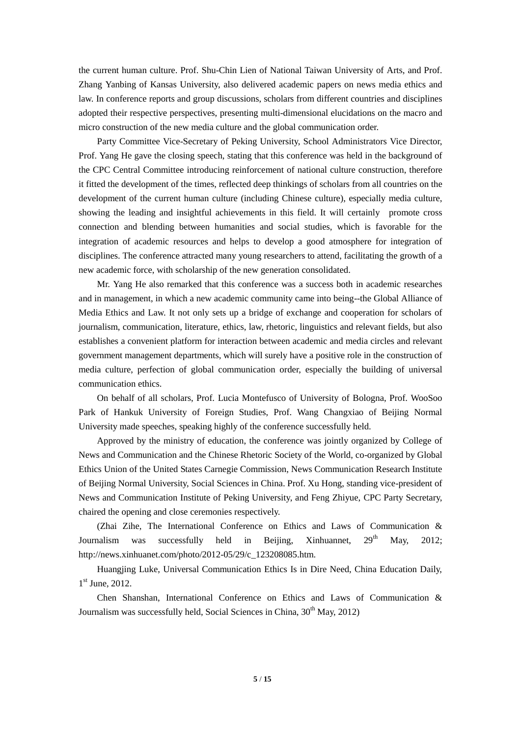the current human culture. Prof. Shu-Chin Lien of National Taiwan University of Arts, and Prof. Zhang Yanbing of Kansas University, also delivered academic papers on news media ethics and law. In conference reports and group discussions, scholars from different countries and disciplines adopted their respective perspectives, presenting multi-dimensional elucidations on the macro and micro construction of the new media culture and the global communication order.

Party Committee Vice-Secretary of Peking University, School Administrators Vice Director, Prof. Yang He gave the closing speech, stating that this conference was held in the background of the CPC Central Committee introducing reinforcement of national culture construction, therefore it fitted the development of the times, reflected deep thinkings of scholars from all countries on the development of the current human culture (including Chinese culture), especially media culture, showing the leading and insightful achievements in this field. It will certainly promote cross connection and blending between humanities and social studies, which is favorable for the integration of academic resources and helps to develop a good atmosphere for integration of disciplines. The conference attracted many young researchers to attend, facilitating the growth of a new academic force, with scholarship of the new generation consolidated.

Mr. Yang He also remarked that this conference was a success both in academic researches and in management, in which a new academic community came into being--the Global Alliance of Media Ethics and Law. It not only sets up a bridge of exchange and cooperation for scholars of journalism, communication, literature, ethics, law, rhetoric, linguistics and relevant fields, but also establishes a convenient platform for interaction between academic and media circles and relevant government management departments, which will surely have a positive role in the construction of media culture, perfection of global communication order, especially the building of universal communication ethics.

On behalf of all scholars, Prof. Lucia Montefusco of University of Bologna, Prof. WooSoo Park of Hankuk University of Foreign Studies, Prof. Wang Changxiao of Beijing Normal University made speeches, speaking highly of the conference successfully held.

Approved by the ministry of education, the conference was jointly organized by College of News and Communication and the Chinese Rhetoric Society of the World, co-organized by Global Ethics Union of the United States Carnegie Commission, News Communication Research Institute of Beijing Normal University, Social Sciences in China. Prof. Xu Hong, standing vice-president of News and Communication Institute of Peking University, and Feng Zhiyue, CPC Party Secretary, chaired the opening and close ceremonies respectively.

(Zhai Zihe, The International Conference on Ethics and Laws of Communication & Journalism was successfully held in Beijing, Xinhuannet,  $29<sup>th</sup>$  May, 2012; http://news.xinhuanet.com/photo/2012-05/29/c\_123208085.htm.

Huangjing Luke, Universal Communication Ethics Is in Dire Need, China Education Daily, 1<sup>st</sup> June, 2012.

Chen Shanshan, International Conference on Ethics and Laws of Communication & Journalism was successfully held, Social Sciences in China,  $30<sup>th</sup>$  May,  $2012$ )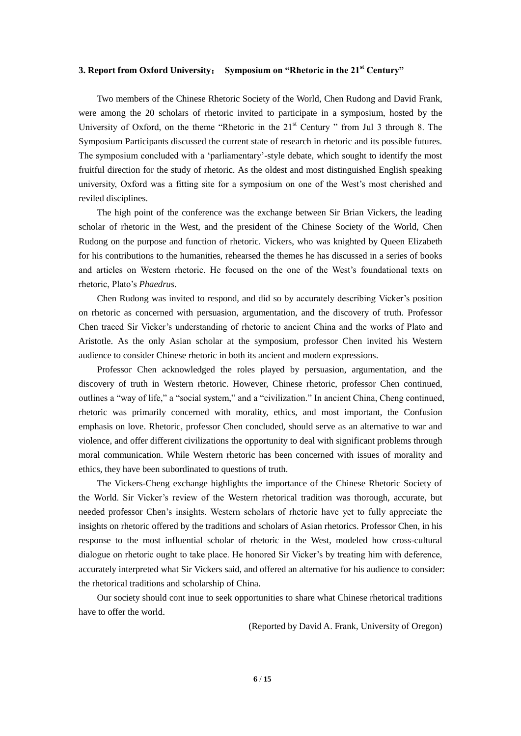## **3. Report from Oxford University**: **Symposium on "Rhetoric in the 21st Century"**

Two members of the Chinese Rhetoric Society of the World, Chen Rudong and David Frank, were among the 20 scholars of rhetoric invited to participate in a symposium, hosted by the University of Oxford, on the theme "Rhetoric in the  $21<sup>st</sup>$  Century" from Jul 3 through 8. The Symposium Participants discussed the current state of research in rhetoric and its possible futures. The symposium concluded with a "parliamentary"-style debate, which sought to identify the most fruitful direction for the study of rhetoric. As the oldest and most distinguished English speaking university, Oxford was a fitting site for a symposium on one of the West's most cherished and reviled disciplines.

The high point of the conference was the exchange between Sir Brian Vickers, the leading scholar of rhetoric in the West, and the president of the Chinese Society of the World, Chen Rudong on the purpose and function of rhetoric. Vickers, who was knighted by Queen Elizabeth for his contributions to the humanities, rehearsed the themes he has discussed in a series of books and articles on Western rhetoric. He focused on the one of the West"s foundational texts on rhetoric, Plato"s *Phaedrus*.

Chen Rudong was invited to respond, and did so by accurately describing Vicker"s position on rhetoric as concerned with persuasion, argumentation, and the discovery of truth. Professor Chen traced Sir Vicker"s understanding of rhetoric to ancient China and the works of Plato and Aristotle. As the only Asian scholar at the symposium, professor Chen invited his Western audience to consider Chinese rhetoric in both its ancient and modern expressions.

Professor Chen acknowledged the roles played by persuasion, argumentation, and the discovery of truth in Western rhetoric. However, Chinese rhetoric, professor Chen continued, outlines a "way of life," a "social system," and a "civilization." In ancient China, Cheng continued, rhetoric was primarily concerned with morality, ethics, and most important, the Confusion emphasis on love. Rhetoric, professor Chen concluded, should serve as an alternative to war and violence, and offer different civilizations the opportunity to deal with significant problems through moral communication. While Western rhetoric has been concerned with issues of morality and ethics, they have been subordinated to questions of truth.

The Vickers-Cheng exchange highlights the importance of the Chinese Rhetoric Society of the World. Sir Vicker"s review of the Western rhetorical tradition was thorough, accurate, but needed professor Chen"s insights. Western scholars of rhetoric have yet to fully appreciate the insights on rhetoric offered by the traditions and scholars of Asian rhetorics. Professor Chen, in his response to the most influential scholar of rhetoric in the West, modeled how cross-cultural dialogue on rhetoric ought to take place. He honored Sir Vicker"s by treating him with deference, accurately interpreted what Sir Vickers said, and offered an alternative for his audience to consider: the rhetorical traditions and scholarship of China.

Our society should cont inue to seek opportunities to share what Chinese rhetorical traditions have to offer the world.

(Reported by David A. Frank, University of Oregon)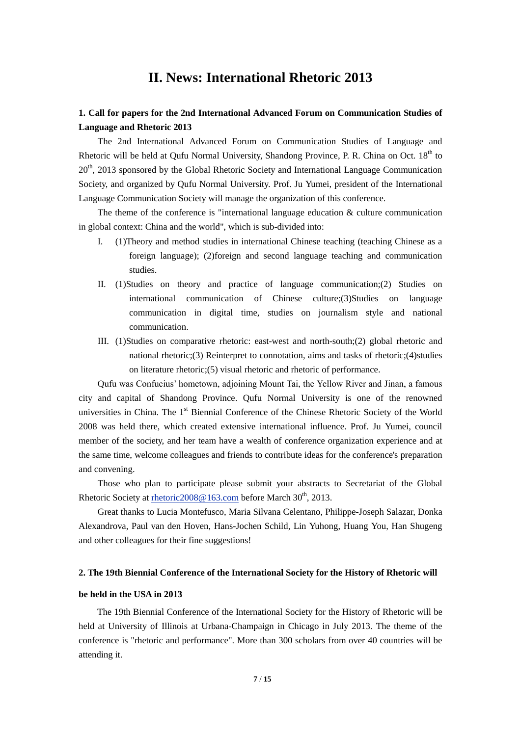# **II. News: International Rhetoric 2013**

## **1. Call for papers for the 2nd International Advanced Forum on Communication Studies of Language and Rhetoric 2013**

The 2nd International Advanced Forum on Communication Studies of Language and Rhetoric will be held at Qufu Normal University, Shandong Province, P. R. China on Oct.  $18<sup>th</sup>$  to 20<sup>th</sup>, 2013 sponsored by the Global Rhetoric Society and International Language Communication Society, and organized by Qufu Normal University. Prof. Ju Yumei, president of the International Language Communication Society will manage the organization of this conference.

The theme of the conference is "international language education & culture communication in global context: China and the world", which is sub-divided into:

- I. (1)Theory and method studies in international Chinese teaching (teaching Chinese as a foreign language); (2)foreign and second language teaching and communication studies.
- II. (1)Studies on theory and practice of language communication;(2) Studies on international communication of Chinese culture;(3)Studies on language communication in digital time, studies on journalism style and national communication.
- III. (1)Studies on comparative rhetoric: east-west and north-south;(2) global rhetoric and national rhetoric;(3) Reinterpret to connotation, aims and tasks of rhetoric;(4)studies on literature rhetoric;(5) visual rhetoric and rhetoric of performance.

Qufu was Confucius" hometown, adjoining Mount Tai, the Yellow River and Jinan, a famous city and capital of Shandong Province. Qufu Normal University is one of the renowned universities in China. The  $1<sup>st</sup>$  Biennial Conference of the Chinese Rhetoric Society of the World 2008 was held there, which created extensive international influence. Prof. Ju Yumei, council member of the society, and her team have a wealth of conference organization experience and at the same time, welcome colleagues and friends to contribute ideas for the conference's preparation and convening.

Those who plan to participate please submit your abstracts to Secretariat of the Global Rhetoric Society at rhetoric  $2008@163$ .com before March  $30<sup>th</sup>$ ,  $2013$ .

Great thanks to Lucia Montefusco, Maria Silvana Celentano, Philippe-Joseph Salazar, Donka Alexandrova, Paul van den Hoven, Hans-Jochen Schild, Lin Yuhong, Huang You, Han Shugeng and other colleagues for their fine suggestions!

#### **2. The 19th Biennial Conference of the International Society for the History of Rhetoric will**

## **be held in the USA in 2013**

The 19th Biennial Conference of the International Society for the History of Rhetoric will be held at University of Illinois at Urbana-Champaign in Chicago in July 2013. The theme of the conference is "rhetoric and performance". More than 300 scholars from over 40 countries will be attending it.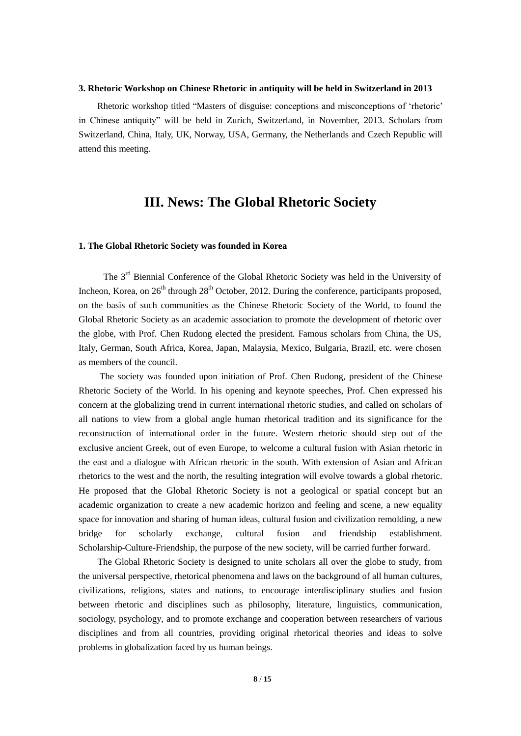#### **3. Rhetoric Workshop on Chinese Rhetoric in antiquity will be held in Switzerland in 2013**

Rhetoric workshop titled "Masters of disguise: conceptions and misconceptions of "rhetoric" in Chinese antiquity" will be held in Zurich, Switzerland, in November, 2013. Scholars from Switzerland, China, Italy, UK, Norway, USA, Germany, the Netherlands and Czech Republic will attend this meeting.

# **III. News: The Global Rhetoric Society**

## **1. The Global Rhetoric Society was founded in Korea**

The 3<sup>rd</sup> Biennial Conference of the Global Rhetoric Society was held in the University of Incheon, Korea, on  $26<sup>th</sup>$  through  $28<sup>th</sup>$  October, 2012. During the conference, participants proposed, on the basis of such communities as the Chinese Rhetoric Society of the World, to found the Global Rhetoric Society as an academic association to promote the development of rhetoric over the globe, with Prof. Chen Rudong elected the president. Famous scholars from China, the US, Italy, German, South Africa, Korea, Japan, Malaysia, Mexico, Bulgaria, Brazil, etc. were chosen as members of the council.

The society was founded upon initiation of Prof. Chen Rudong, president of the Chinese Rhetoric Society of the World. In his opening and keynote speeches, Prof. Chen expressed his concern at the globalizing trend in current international rhetoric studies, and called on scholars of all nations to view from a global angle human rhetorical tradition and its significance for the reconstruction of international order in the future. Western rhetoric should step out of the exclusive ancient Greek, out of even Europe, to welcome a cultural fusion with Asian rhetoric in the east and a dialogue with African rhetoric in the south. With extension of Asian and African rhetorics to the west and the north, the resulting integration will evolve towards a global rhetoric. He proposed that the Global Rhetoric Society is not a geological or spatial concept but an academic organization to create a new academic horizon and feeling and scene, a new equality space for innovation and sharing of human ideas, cultural fusion and civilization remolding, a new bridge for scholarly exchange, cultural fusion and friendship establishment. Scholarship-Culture-Friendship, the purpose of the new society, will be carried further forward.

The Global Rhetoric Society is designed to unite scholars all over the globe to study, from the universal perspective, rhetorical phenomena and laws on the background of all human cultures, civilizations, religions, states and nations, to encourage interdisciplinary studies and fusion between rhetoric and disciplines such as philosophy, literature, linguistics, communication, sociology, psychology, and to promote exchange and cooperation between researchers of various disciplines and from all countries, providing original rhetorical theories and ideas to solve problems in globalization faced by us human beings.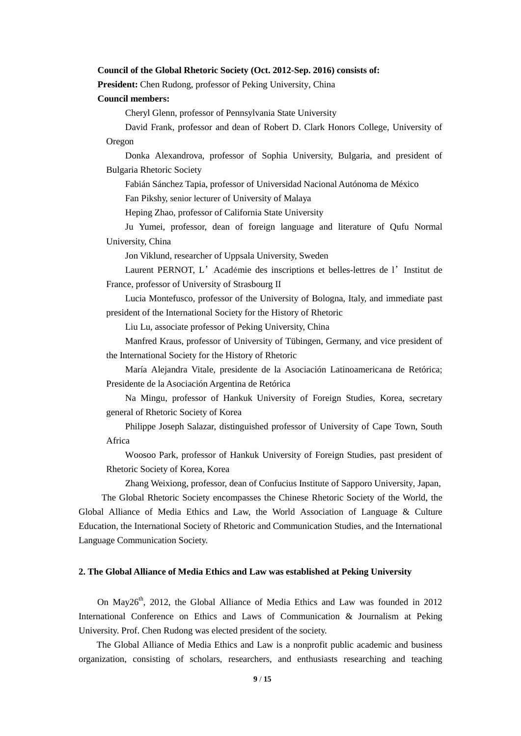#### **Council of the Global Rhetoric Society (Oct. 2012-Sep. 2016) consists of:**

**President:** Chen Rudong, professor of Peking University, China

**Council members:**

Cheryl Glenn, professor of Pennsylvania State University

David Frank, professor and dean of Robert D. Clark Honors College, University of Oregon

Donka Alexandrova, professor of Sophia University, Bulgaria, and president of Bulgaria Rhetoric Society

Fabián Sánchez Tapia, professor of Universidad Nacional Autónoma de México

Fan Pikshy, senior lecturer of University of Malaya

Heping Zhao, professor of California State University

Ju Yumei, professor, dean of foreign language and literature of Qufu Normal University, China

Jon Viklund, researcher of Uppsala University, Sweden

Laurent PERNOT, L'Académie des inscriptions et belles-lettres de l'Institut de France, professor of University of Strasbourg II

Lucia Montefusco, professor of the University of Bologna, Italy, and immediate past president of the International Society for the History of Rhetoric

Liu Lu, associate professor of Peking University, China

Manfred Kraus, professor of University of Tübingen, Germany, and vice president of the International Society for the History of Rhetoric

María Alejandra Vitale, presidente de la Asociación Latinoamericana de Retórica; Presidente de la Asociación Argentina de Retórica

Na Mingu, professor of Hankuk University of Foreign Studies, Korea, secretary general of Rhetoric Society of Korea

Philippe Joseph Salazar, distinguished professor of University of Cape Town, South Africa

Woosoo Park, professor of Hankuk University of Foreign Studies, past president of Rhetoric Society of Korea, Korea

Zhang Weixiong, professor, dean of Confucius Institute of Sapporo University, Japan,

The Global Rhetoric Society encompasses the Chinese Rhetoric Society of the World, the Global Alliance of Media Ethics and Law, the World Association of Language & Culture Education, the International Society of Rhetoric and Communication Studies, and the International Language Communication Society.

## **2. The Global Alliance of Media Ethics and Law was established at Peking University**

On May26<sup>th</sup>, 2012, the Global Alliance of Media Ethics and Law was founded in 2012 International Conference on Ethics and Laws of Communication & Journalism at Peking University. Prof. Chen Rudong was elected president of the society.

The Global Alliance of Media Ethics and Law is a nonprofit public academic and business organization, consisting of scholars, researchers, and enthusiasts researching and teaching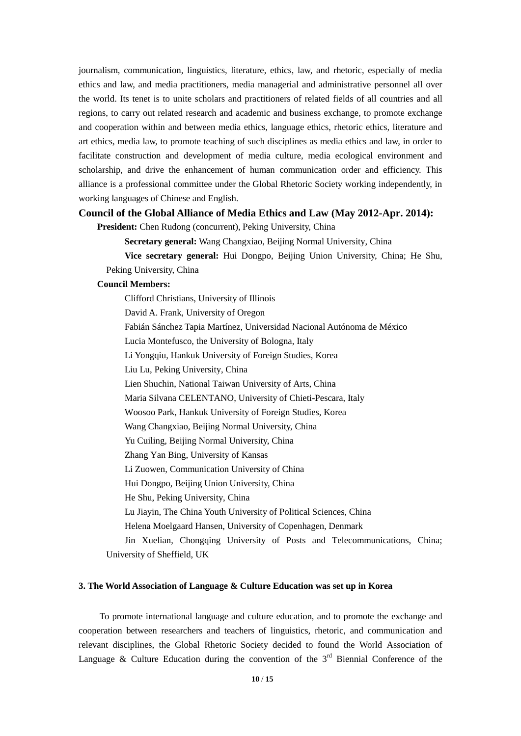journalism, communication, linguistics, literature, ethics, law, and rhetoric, especially of media ethics and law, and media practitioners, media managerial and administrative personnel all over the world. Its tenet is to unite scholars and practitioners of related fields of all countries and all regions, to carry out related research and academic and business exchange, to promote exchange and cooperation within and between media ethics, language ethics, rhetoric ethics, literature and art ethics, media law, to promote teaching of such disciplines as media ethics and law, in order to facilitate construction and development of media culture, media ecological environment and scholarship, and drive the enhancement of human communication order and efficiency. This alliance is a professional committee under the Global Rhetoric Society working independently, in working languages of Chinese and English.

#### **Council of the Global Alliance of Media Ethics and Law (May 2012-Apr. 2014):**

President: Chen Rudong (concurrent), Peking University, China

**Secretary general:** Wang Changxiao, Beijing Normal University, China

**Vice secretary general:** Hui Dongpo, Beijing Union University, China; He Shu, Peking University, China

## **Council Members:**

Clifford Christians, University of Illinois David A. Frank, University of Oregon Fabi án Sánchez Tapia Mart ínez, Universidad Nacional Autónoma de México Lucia Montefusco, the University of Bologna, Italy Li Yongqiu, Hankuk University of Foreign Studies, Korea Liu Lu, Peking University, China Lien Shuchin, National Taiwan University of Arts, China Maria Silvana CELENTANO, University of Chieti-Pescara, Italy Woosoo Park, Hankuk University of Foreign Studies, Korea Wang Changxiao, Beijing Normal University, China Yu Cuiling, Beijing Normal University, China Zhang Yan Bing, University of Kansas Li Zuowen, Communication University of China Hui Dongpo, Beijing Union University, China He Shu, Peking University, China Lu Jiayin, The China Youth University of Political Sciences, China Helena Moelgaard Hansen, University of Copenhagen, Denmark Jin Xuelian, Chongqing University of Posts and Telecommunications, China; University of Sheffield, UK

## **3. The World Association of Language & Culture Education was set up in Korea**

To promote international language and culture education, and to promote the exchange and cooperation between researchers and teachers of linguistics, rhetoric, and communication and relevant disciplines, the Global Rhetoric Society decided to found the World Association of Language & Culture Education during the convention of the  $3<sup>rd</sup>$  Biennial Conference of the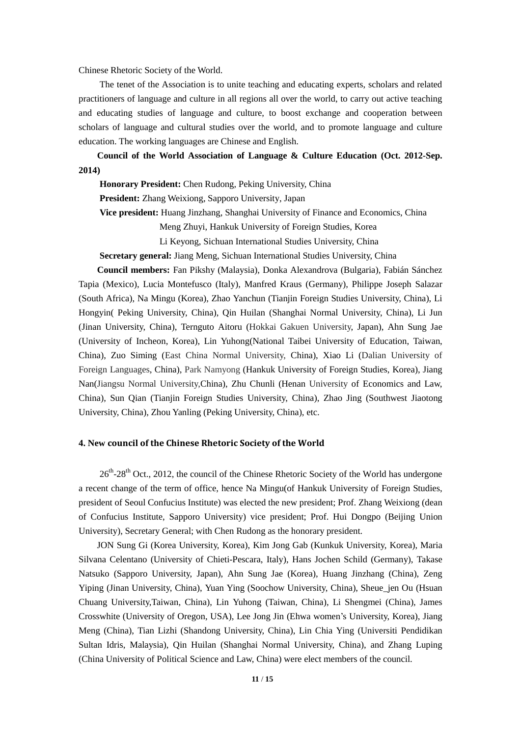Chinese Rhetoric Society of the World.

The tenet of the Association is to unite teaching and educating experts, scholars and related practitioners of language and culture in all regions all over the world, to carry out active teaching and educating studies of language and culture, to boost exchange and cooperation between scholars of language and cultural studies over the world, and to promote language and culture education. The working languages are Chinese and English.

 **Council of the World Association of Language & Culture Education (Oct. 2012-Sep. 2014)**

**Honorary President:** Chen Rudong, Peking University, China

**President:** Zhang Weixiong, Sapporo University, Japan

**Vice president:** Huang Jinzhang, Shanghai University of Finance and Economics, China

Meng Zhuyi, Hankuk University of Foreign Studies, Korea

Li Keyong, Sichuan International Studies University, China

**Secretary general:** Jiang Meng, Sichuan International Studies University, China

**Council members:** Fan Pikshy (Malaysia), Donka Alexandrova (Bulgaria), Fabián Sánchez Tapia (Mexico), Lucia Montefusco (Italy), Manfred Kraus (Germany), Philippe Joseph Salazar (South Africa), Na Mingu (Korea), Zhao Yanchun (Tianjin Foreign Studies University, China), Li Hongyin( Peking University, China), Qin Huilan (Shanghai Normal University, China), Li Jun (Jinan University, China), Ternguto Aitoru (Hokkai Gakuen University, Japan), Ahn Sung Jae (University of Incheon, Korea), Lin Yuhong(National Taibei University of Education, Taiwan, China), Zuo Siming (East China Normal University, China), Xiao Li (Dalian University of Foreign Languages, China), Park Namyong (Hankuk University of Foreign Studies, Korea), Jiang Nan(Jiangsu Normal University,China), Zhu Chunli (Henan University of Economics and Law, China), Sun Qian (Tianjin Foreign Studies University, China), Zhao Jing (Southwest Jiaotong University, China), Zhou Yanling (Peking University, China), etc.

#### **4. New council of the Chinese Rhetoric Society of the World**

26<sup>th</sup>-28<sup>th</sup> Oct., 2012, the council of the Chinese Rhetoric Society of the World has undergone a recent change of the term of office, hence Na Mingu(of Hankuk University of Foreign Studies, president of Seoul Confucius Institute) was elected the new president; Prof. Zhang Weixiong (dean of Confucius Institute, Sapporo University) vice president; Prof. Hui Dongpo (Beijing Union University), Secretary General; with Chen Rudong as the honorary president.

 JON Sung Gi (Korea University, Korea), Kim Jong Gab (Kunkuk University, Korea), Maria Silvana Celentano (University of Chieti-Pescara, Italy), Hans Jochen Schild (Germany), Takase Natsuko (Sapporo University, Japan), Ahn Sung Jae (Korea), Huang Jinzhang (China), Zeng Yiping (Jinan University, China), Yuan Ying (Soochow University, China), Sheue\_jen Ou (Hsuan Chuang University,Taiwan, China), Lin Yuhong (Taiwan, China), Li Shengmei (China), James Crosswhite (University of Oregon, USA), Lee Jong Jin (Ehwa women"s University, Korea), Jiang Meng (China), Tian Lizhi (Shandong University, China), Lin Chia Ying (Universiti Pendidikan Sultan Idris, Malaysia), Qin Huilan (Shanghai Normal University, China), and Zhang Luping (China University of Political Science and Law, China) were elect members of the council.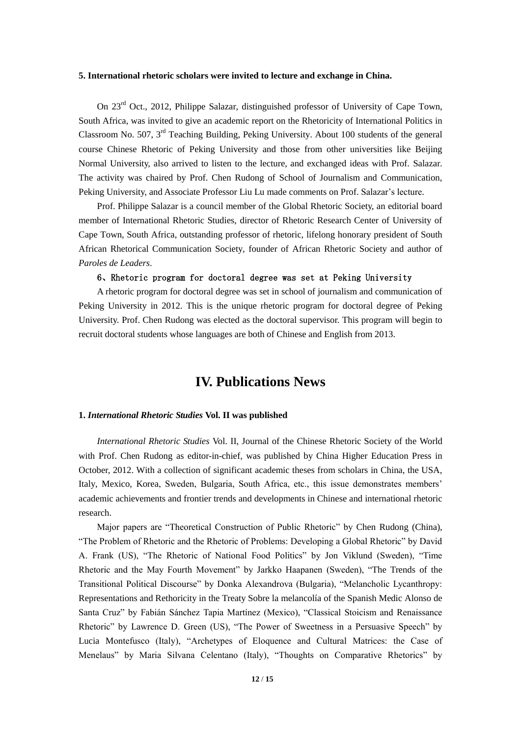#### **5. International rhetoric scholars were invited to lecture and exchange in China.**

On 23<sup>rd</sup> Oct., 2012, Philippe Salazar, distinguished professor of University of Cape Town, South Africa, was invited to give an academic report on the Rhetoricity of International Politics in Classroom No. 507, 3<sup>rd</sup> Teaching Building, Peking University. About 100 students of the general course Chinese Rhetoric of Peking University and those from other universities like Beijing Normal University, also arrived to listen to the lecture, and exchanged ideas with Prof. Salazar. The activity was chaired by Prof. Chen Rudong of School of Journalism and Communication, Peking University, and Associate Professor Liu Lu made comments on Prof. Salazar"s lecture.

Prof. Philippe Salazar is a council member of the Global Rhetoric Society, an editorial board member of International Rhetoric Studies, director of Rhetoric Research Center of University of Cape Town, South Africa, outstanding professor of rhetoric, lifelong honorary president of South African Rhetorical Communication Society, founder of African Rhetoric Society and author of *Paroles de Leaders*.

## 6、Rhetoric program for doctoral degree was set at Peking University

A rhetoric program for doctoral degree was set in school of journalism and communication of Peking University in 2012. This is the unique rhetoric program for doctoral degree of Peking University. Prof. Chen Rudong was elected as the doctoral supervisor. This program will begin to recruit doctoral students whose languages are both of Chinese and English from 2013.

# **IV. Publications News**

## **1.** *International Rhetoric Studies* **Vol. II was published**

*International Rhetoric Studies* Vol. II, Journal of the Chinese Rhetoric Society of the World with Prof. Chen Rudong as editor-in-chief, was published by China Higher Education Press in October, 2012. With a collection of significant academic theses from scholars in China, the USA, Italy, Mexico, Korea, Sweden, Bulgaria, South Africa, etc., this issue demonstrates members" academic achievements and frontier trends and developments in Chinese and international rhetoric research.

Major papers are "Theoretical Construction of Public Rhetoric" by Chen Rudong (China), "The Problem of Rhetoric and the Rhetoric of Problems: Developing a Global Rhetoric" by David A. Frank (US), "The Rhetoric of National Food Politics" by Jon Viklund (Sweden), "Time Rhetoric and the May Fourth Movement" by Jarkko Haapanen (Sweden), "The Trends of the Transitional Political Discourse" by Donka Alexandrova (Bulgaria), "Melancholic Lycanthropy: Representations and Rethoricity in the Treaty Sobre la melancolía of the Spanish Medic Alonso de Santa Cruz" by Fabián Sánchez Tapia Martínez (Mexico), "Classical Stoicism and Renaissance Rhetoric" by Lawrence D. Green (US), "The Power of Sweetness in a Persuasive Speech" by Lucia Montefusco (Italy), "Archetypes of Eloquence and Cultural Matrices: the Case of Menelaus" by Maria Silvana Celentano (Italy), "Thoughts on Comparative Rhetorics" by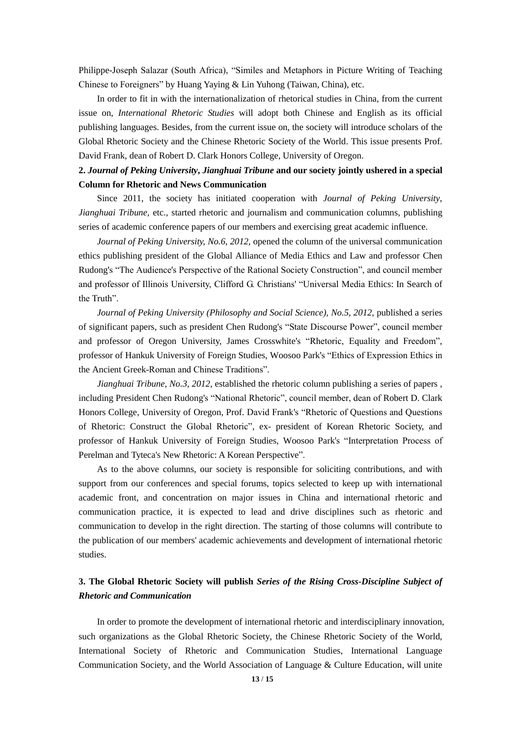Philippe-Joseph Salazar (South Africa), "Similes and Metaphors in Picture Writing of Teaching Chinese to Foreigners" by Huang Yaying & Lin Yuhong (Taiwan, China), etc.

In order to fit in with the internationalization of rhetorical studies in China, from the current issue on, *International Rhetoric Studies* will adopt both Chinese and English as its official publishing languages. Besides, from the current issue on, the society will introduce scholars of the Global Rhetoric Society and the Chinese Rhetoric Society of the World. This issue presents Prof. David Frank, dean of Robert D. Clark Honors College, University of Oregon.

# **2.** *Journal of Peking University***,** *Jianghuai Tribune* **and our society jointly ushered in a special Column for Rhetoric and News Communication**

Since 2011, the society has initiated cooperation with *Journal of Peking University*, *Jianghuai Tribune*, etc., started rhetoric and journalism and communication columns, publishing series of academic conference papers of our members and exercising great academic influence.

*Journal of Peking University, No.6, 2012,* opened the column of the universal communication ethics publishing president of the Global Alliance of Media Ethics and Law and professor Chen Rudong's "The Audience's Perspective of the Rational Society Construction", and council member and professor of Illinois University, Clifford G. Christians' "Universal Media Ethics: In Search of the Truth".

*Journal of Peking University (Philosophy and Social Science), No.5, 2012*, published a series of significant papers, such as president Chen Rudong's "State Discourse Power", council member and professor of Oregon University, James Crosswhite's "Rhetoric, Equality and Freedom", professor of Hankuk University of Foreign Studies, Woosoo Park's "Ethics of Expression Ethics in the Ancient Greek-Roman and Chinese Traditions".

*Jianghuai Tribune, No.3, 2012*, established the rhetoric column publishing a series of papers , including President Chen Rudong's "National Rhetoric", council member, dean of Robert D. Clark Honors College, University of Oregon, Prof. David Frank's "Rhetoric of Questions and Questions of Rhetoric: Construct the Global Rhetoric", ex- president of Korean Rhetoric Society, and professor of Hankuk University of Foreign Studies, Woosoo Park's "Interpretation Process of Perelman and Tyteca's New Rhetoric: A Korean Perspective".

As to the above columns, our society is responsible for soliciting contributions, and with support from our conferences and special forums, topics selected to keep up with international academic front, and concentration on major issues in China and international rhetoric and communication practice, it is expected to lead and drive disciplines such as rhetoric and communication to develop in the right direction. The starting of those columns will contribute to the publication of our members' academic achievements and development of international rhetoric studies.

# **3. The Global Rhetoric Society will publish** *Series of the Rising Cross-Discipline Subject of Rhetoric and Communication*

In order to promote the development of international rhetoric and interdisciplinary innovation, such organizations as the Global Rhetoric Society, the Chinese Rhetoric Society of the World, International Society of Rhetoric and Communication Studies, International Language Communication Society, and the World Association of Language & Culture Education, will unite